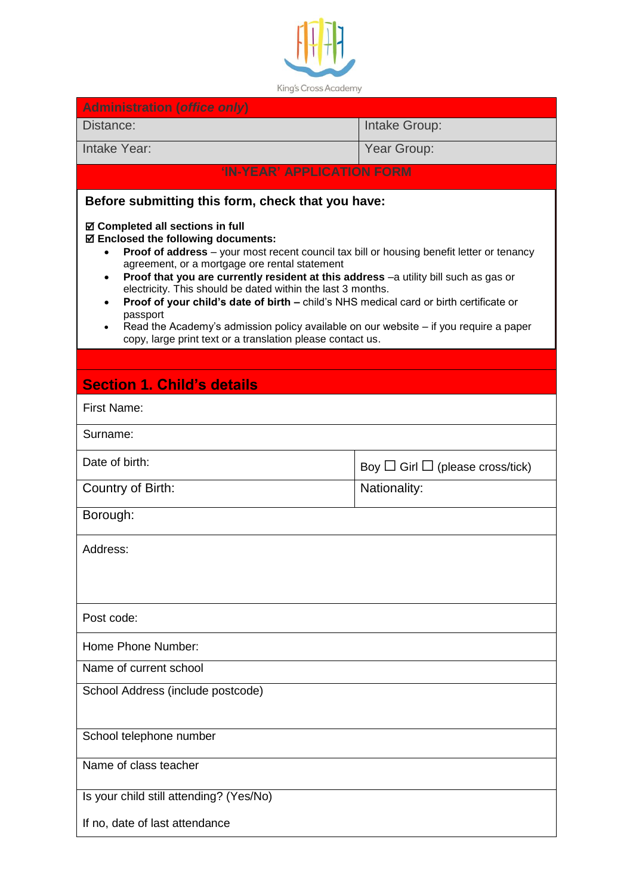

| <b>Administration (office only)</b>                                                                                                                                                                                                                                                                                                                                                                                                                                                                                                                                                                                                                                                                  |                                            |  |
|------------------------------------------------------------------------------------------------------------------------------------------------------------------------------------------------------------------------------------------------------------------------------------------------------------------------------------------------------------------------------------------------------------------------------------------------------------------------------------------------------------------------------------------------------------------------------------------------------------------------------------------------------------------------------------------------------|--------------------------------------------|--|
| Distance:                                                                                                                                                                                                                                                                                                                                                                                                                                                                                                                                                                                                                                                                                            | Intake Group:                              |  |
| Intake Year:                                                                                                                                                                                                                                                                                                                                                                                                                                                                                                                                                                                                                                                                                         | Year Group:                                |  |
| 'IN-YEAR' APPLICATION FORM                                                                                                                                                                                                                                                                                                                                                                                                                                                                                                                                                                                                                                                                           |                                            |  |
| Before submitting this form, check that you have:                                                                                                                                                                                                                                                                                                                                                                                                                                                                                                                                                                                                                                                    |                                            |  |
| ☑ Completed all sections in full<br>☑ Enclosed the following documents:<br><b>Proof of address</b> – your most recent council tax bill or housing benefit letter or tenancy<br>$\bullet$<br>agreement, or a mortgage ore rental statement<br>Proof that you are currently resident at this address -a utility bill such as gas or<br>$\bullet$<br>electricity. This should be dated within the last 3 months.<br>Proof of your child's date of birth - child's NHS medical card or birth certificate or<br>$\bullet$<br>passport<br>Read the Academy's admission policy available on our website - if you require a paper<br>$\bullet$<br>copy, large print text or a translation please contact us. |                                            |  |
|                                                                                                                                                                                                                                                                                                                                                                                                                                                                                                                                                                                                                                                                                                      |                                            |  |
| <b>Section 1. Child's details</b>                                                                                                                                                                                                                                                                                                                                                                                                                                                                                                                                                                                                                                                                    |                                            |  |
| <b>First Name:</b>                                                                                                                                                                                                                                                                                                                                                                                                                                                                                                                                                                                                                                                                                   |                                            |  |
| Surname:                                                                                                                                                                                                                                                                                                                                                                                                                                                                                                                                                                                                                                                                                             |                                            |  |
| Date of birth:                                                                                                                                                                                                                                                                                                                                                                                                                                                                                                                                                                                                                                                                                       | Boy $\Box$ Girl $\Box$ (please cross/tick) |  |
| Country of Birth:                                                                                                                                                                                                                                                                                                                                                                                                                                                                                                                                                                                                                                                                                    | Nationality:                               |  |
| Borough:                                                                                                                                                                                                                                                                                                                                                                                                                                                                                                                                                                                                                                                                                             |                                            |  |
| Address:                                                                                                                                                                                                                                                                                                                                                                                                                                                                                                                                                                                                                                                                                             |                                            |  |
| Post code:                                                                                                                                                                                                                                                                                                                                                                                                                                                                                                                                                                                                                                                                                           |                                            |  |
| Home Phone Number:                                                                                                                                                                                                                                                                                                                                                                                                                                                                                                                                                                                                                                                                                   |                                            |  |
| Name of current school                                                                                                                                                                                                                                                                                                                                                                                                                                                                                                                                                                                                                                                                               |                                            |  |
| School Address (include postcode)                                                                                                                                                                                                                                                                                                                                                                                                                                                                                                                                                                                                                                                                    |                                            |  |
| School telephone number                                                                                                                                                                                                                                                                                                                                                                                                                                                                                                                                                                                                                                                                              |                                            |  |
| Name of class teacher                                                                                                                                                                                                                                                                                                                                                                                                                                                                                                                                                                                                                                                                                |                                            |  |
| Is your child still attending? (Yes/No)                                                                                                                                                                                                                                                                                                                                                                                                                                                                                                                                                                                                                                                              |                                            |  |
| If no, date of last attendance                                                                                                                                                                                                                                                                                                                                                                                                                                                                                                                                                                                                                                                                       |                                            |  |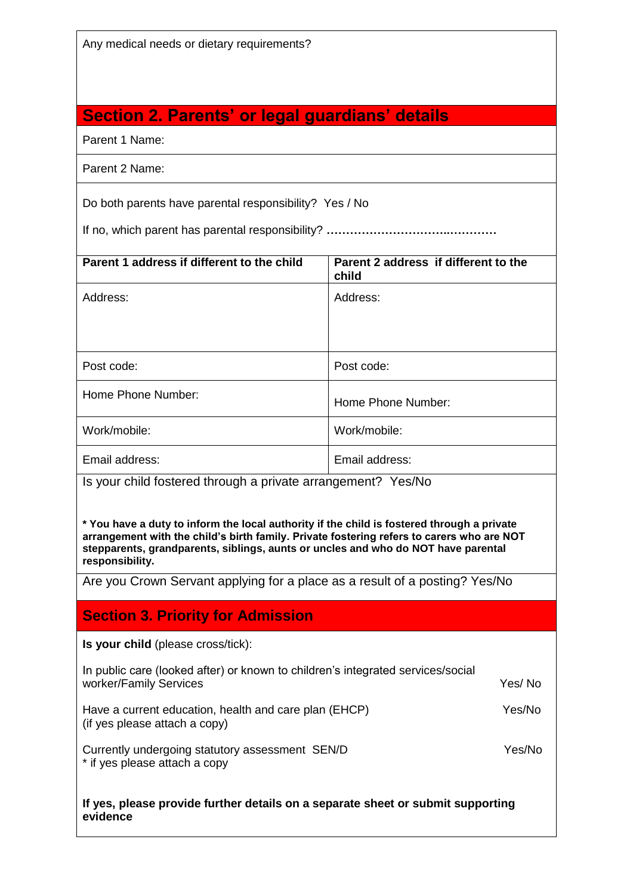Any medical needs or dietary requirements?

# **Section 2. Parents' or legal guardians' details**

Parent 1 Name:

| Parent 2 Name: |  |  |
|----------------|--|--|
|----------------|--|--|

Do both parents have parental responsibility? Yes / No

If no, which parent has parental responsibility? **…………………………..…………**

| Address:<br>Post code:                                       |
|--------------------------------------------------------------|
|                                                              |
|                                                              |
|                                                              |
|                                                              |
| Home Phone Number:                                           |
| Work/mobile:                                                 |
| Email address:                                               |
| Is your child fostered through a private arrangement? Yes/No |
|                                                              |

**\* You have a duty to inform the local authority if the child is fostered through a private arrangement with the child's birth family. Private fostering refers to carers who are NOT stepparents, grandparents, siblings, aunts or uncles and who do NOT have parental responsibility.**

Are you Crown Servant applying for a place as a result of a posting? Yes/No

## **Section 3. Priority for Admission**

**Is your child** (please cross/tick):

| In public care (looked after) or known to children's integrated services/social<br>worker/Family Services | Yes/No |
|-----------------------------------------------------------------------------------------------------------|--------|
| Have a current education health and care plan (FHCP)                                                      | Voc/No |

Have a current education, health and care plan (EHCP) Yes/No (if yes please attach a copy)

Currently undergoing statutory assessment SEN/D Yes/No \* if yes please attach a copy

**If yes, please provide further details on a separate sheet or submit supporting evidence**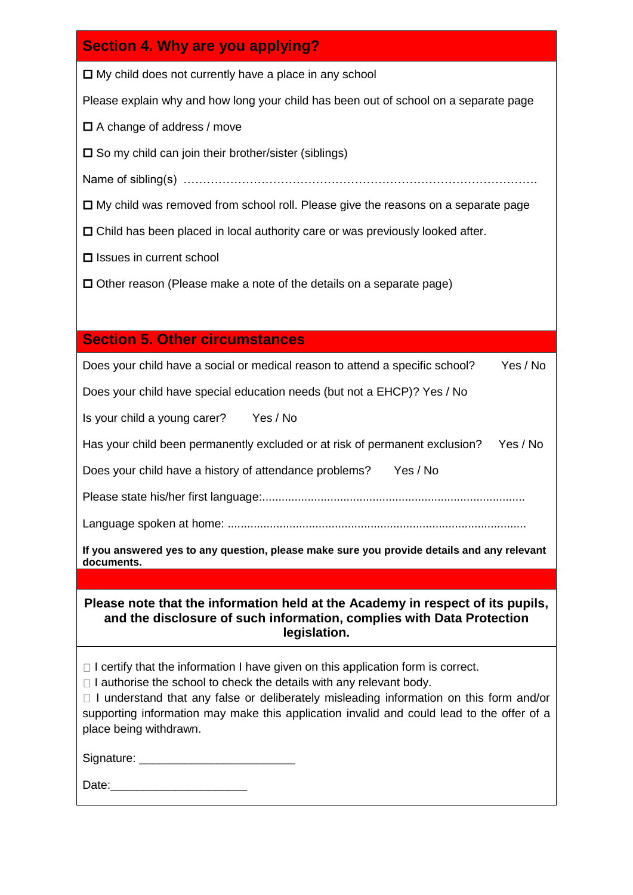## **Section 4. Why are you applying?**

 $\Box$  My child does not currently have a place in any school

Please explain why and how long your child has been out of school on a separate page

 $\Box$  A change of address / move

 $\square$  So my child can join their brother/sister (siblings)

Name of sibling(s) ……………………………………………………………………………….

 $\Box$  My child was removed from school roll. Please give the reasons on a separate page

Child has been placed in local authority care or was previously looked after.

 $\square$  Issues in current school

 $\square$  Other reason (Please make a note of the details on a separate page)

### **Section 5. Other circumstances**

Does your child have a social or medical reason to attend a specific school? Yes / No

Does your child have special education needs (but not a EHCP)? Yes / No

Is your child a young carer? Yes / No

Has your child been permanently excluded or at risk of permanent exclusion? Yes / No

Does your child have a history of attendance problems? Yes / No

Please state his/her first language:.................................................................................

Language spoken at home: ............................................................................................

**If you answered yes to any question, please make sure you provide details and any relevant documents.**

**Please note that the information held at the Academy in respect of its pupils, and the disclosure of such information, complies with Data Protection legislation.**

 $\Box$  I certify that the information I have given on this application form is correct.

 $\Box$  I authorise the school to check the details with any relevant body.

 $\Box$  I understand that any false or deliberately misleading information on this form and/or supporting information may make this application invalid and could lead to the offer of a place being withdrawn.

Signature: \_\_\_\_\_\_\_\_\_\_\_\_\_\_\_\_\_\_\_\_\_\_\_\_

Date:\_\_\_\_\_\_\_\_\_\_\_\_\_\_\_\_\_\_\_\_\_